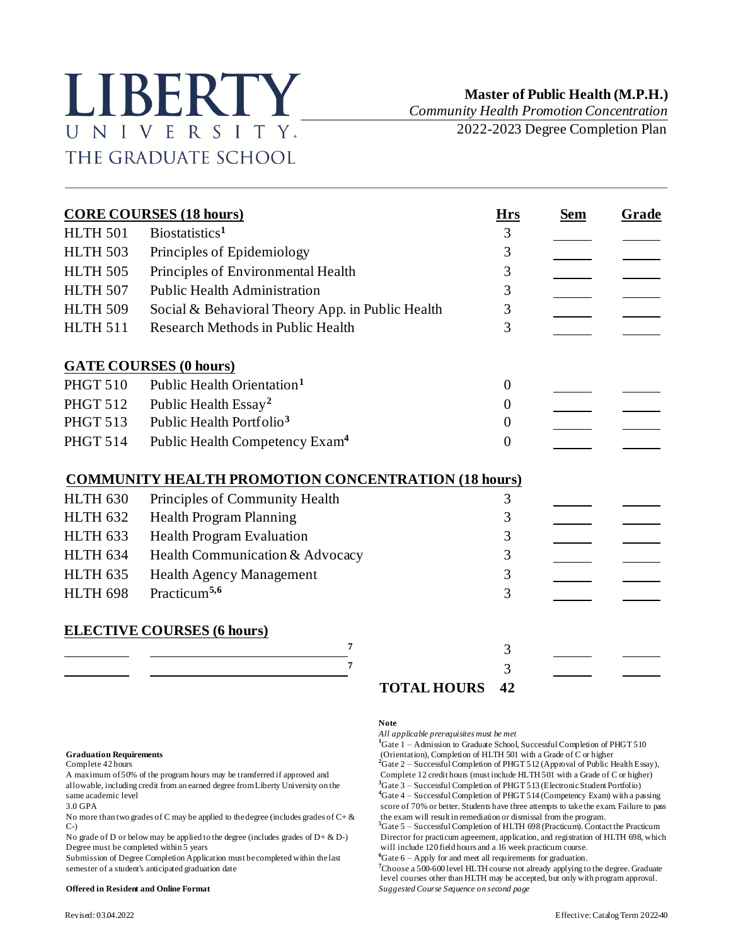# LIBERTY UNIVERSITY. THE GRADUATE SCHOOL

## **Master of Public Health (M.P.H.)**

*Community Health Promotion Concentration*

2022-2023 Degree Completion Plan

| <b>CORE COURSES (18 hours)</b> |                                                            | <b>Hrs</b>     | <b>Sem</b> | Grade |
|--------------------------------|------------------------------------------------------------|----------------|------------|-------|
| <b>HLTH 501</b>                | Biostatistics <sup>1</sup>                                 | 3              |            |       |
| <b>HLTH 503</b>                | Principles of Epidemiology                                 | 3              |            |       |
| <b>HLTH 505</b>                | Principles of Environmental Health                         | 3              |            |       |
| <b>HLTH 507</b>                | <b>Public Health Administration</b>                        | 3              |            |       |
| <b>HLTH 509</b>                | Social & Behavioral Theory App. in Public Health           | 3              |            |       |
| <b>HLTH 511</b>                | <b>Research Methods in Public Health</b>                   | 3              |            |       |
|                                | <b>GATE COURSES (0 hours)</b>                              |                |            |       |
| <b>PHGT 510</b>                | Public Health Orientation <sup>1</sup>                     | $\theta$       |            |       |
| <b>PHGT 512</b>                | Public Health Essay <sup>2</sup>                           | $\Omega$       |            |       |
| <b>PHGT 513</b>                | Public Health Portfolio <sup>3</sup>                       | $\theta$       |            |       |
| <b>PHGT 514</b>                | Public Health Competency Exam <sup>4</sup>                 | $\overline{0}$ |            |       |
|                                | <b>COMMUNITY HEALTH PROMOTION CONCENTRATION (18 hours)</b> |                |            |       |
| <b>HLTH 630</b>                | Principles of Community Health                             | 3              |            |       |
| <b>HLTH 632</b>                | <b>Health Program Planning</b>                             | 3              |            |       |
| <b>HLTH 633</b>                | Health Program Evaluation                                  | 3              |            |       |
| <b>HLTH 634</b>                | Health Communication & Advocacy                            | 3              |            |       |
| <b>HLTH 635</b>                | <b>Health Agency Management</b>                            | 3              |            |       |
| <b>HLTH 698</b>                | Practicum <sup>5,6</sup>                                   | 3              |            |       |
|                                | <b>ELECTIVE COURSES (6 hours)</b>                          |                |            |       |
|                                | 7                                                          | 3              |            |       |
|                                | 7                                                          | 3              |            |       |
|                                | <b>TOTAL HOURS</b>                                         | 42             |            |       |

allowable, including credit from an earned degree from Liberty University on the same academic level<br>3.0 GPA

No more than two grades of C may be applied to the degree (includes grades of  $C + \&$  $C-$ 

Submission of Degree Completion Application must be completed within the last semester of a student's anticipated graduation date **<sup>7</sup>**Choose a 500-600 level HLTH course not already applying to the degree. Graduate

### **Note**

*All applicable prerequisites must be met*

<sup>1</sup>Gate 1 – Admission to Graduate School, Successful Completion of PHGT 510 Graduation Requirements<br> **Complete 42 hours** 2 and the Completion of PHGT 512 (Approval of Public Health Essay),<br>
2Gate 2 – Successful Completion of PHGT 512 (Approval of Public Health Essay), A maximum of 50% of the program hours may be transferred if approved and<br>allowable, including credit from an earned degree from Liberty University on the <sup>3</sup>Gate 3 – Successful Completion of PHGT 513 (Electronic Student Po **<sup>4</sup>**Gate 4 – Successful Completion of PHGT 514 (Competency Exam) with a passing

score of 70% or better. Students have three attempts to take the exam. Failure to pass the exam will result in remediation or dismissal from the program. **<sup>5</sup>**Gate 5 – Successful Completion of HLTH 698 (Practicum). Contact the Practicum

No grade of D or below may be applied to the degree (includes grades of  $D + \& D$ ) Director for practicum agreement, application, and registration of HLTH 698, which Degree must be completed within 5 years will include 120 will include 120 field hours and a 16 week practicum course.<br>  ${}^6$ Gate 6 - Apply for and meet all requirements for graduation.

level courses other than HLTH may be accepted, but only with program approval. **Offered in Resident and Online Format** *Suggested Course Sequence on second page*